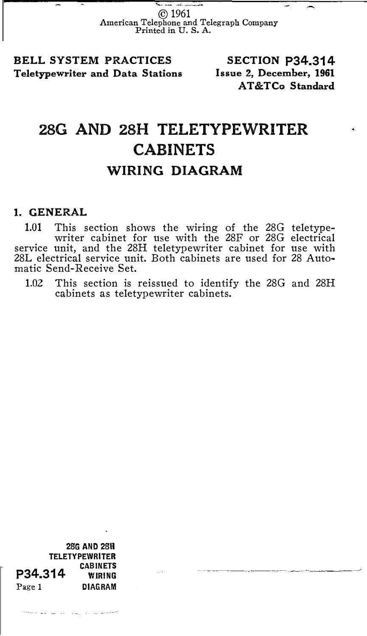Se un sei consult © 1961 American Telephone and Telegraph Company Printed in U. S. A.

BELL SYSTEM PRACTICES Teletypewriter and Data Stations Issue 2, December, 1961

SECTION P34.314 AT&TCo Standard

## 28G AND 28H TELETYPEWRITER CABINETS WIRING DIAGRAM

## 1. GENERAL

1.01 This section shows the wiring of the 28G teletypewriter cabinet for use with the 28F or 28G electrical service unit, and the 28H teletypewriter cabinet for use with 28L electrical service unit. Both cabinets are used for 28 Automatic Send-Receive Set.

1.02 This section is reissued to identify the 28G and 28H cabinets as teletypewriter cabinets.

28G AND 28H **TELETYPEWRITER** P34.314 CABINETS Page 1 DIAGRAM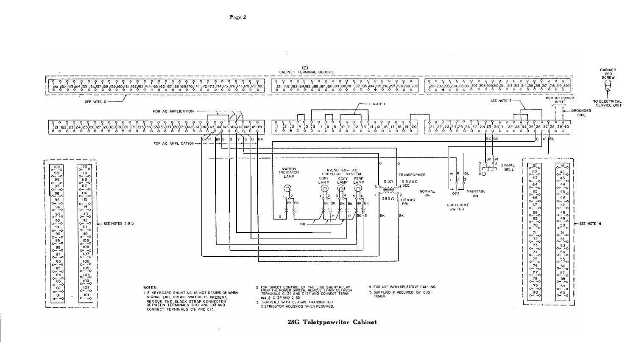

28G Teletypewriter Cabinet